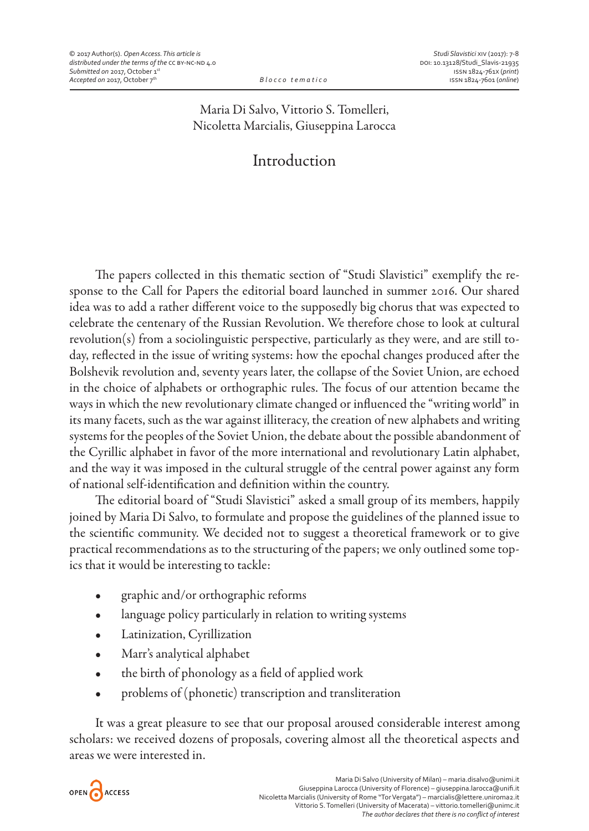## Maria Di Salvo, Vittorio S. Tomelleri, Nicoletta Marcialis, Giuseppina Larocca

## Introduction

The papers collected in this thematic section of "Studi Slavistici" exemplify the response to the Call for Papers the editorial board launched in summer 2016. Our shared idea was to add a rather different voice to the supposedly big chorus that was expected to celebrate the centenary of the Russian Revolution. We therefore chose to look at cultural revolution(s) from a sociolinguistic perspective, particularly as they were, and are still today, reflected in the issue of writing systems: how the epochal changes produced after the Bolshevik revolution and, seventy years later, the collapse of the Soviet Union, are echoed in the choice of alphabets or orthographic rules. The focus of our attention became the ways in which the new revolutionary climate changed or influenced the "writing world" in its many facets, such as the war against illiteracy, the creation of new alphabets and writing systems for the peoples of the Soviet Union, the debate about the possible abandonment of the Cyrillic alphabet in favor of the more international and revolutionary Latin alphabet, and the way it was imposed in the cultural struggle of the central power against any form of national self-identification and definition within the country.

The editorial board of "Studi Slavistici" asked a small group of its members, happily joined by Maria Di Salvo, to formulate and propose the guidelines of the planned issue to the scientific community. We decided not to suggest a theoretical framework or to give practical recommendations as to the structuring of the papers; we only outlined some topics that it would be interesting to tackle:

- $\bullet$  graphic and/or orthographic reforms
- language policy particularly in relation to writing systems
- Latinization, Cyrillization
- Marr's analytical alphabet
- the birth of phonology as a field of applied work
- problems of (phonetic) transcription and transliteration

It was a great pleasure to see that our proposal aroused considerable interest among scholars: we received dozens of proposals, covering almost all the theoretical aspects and areas we were interested in.